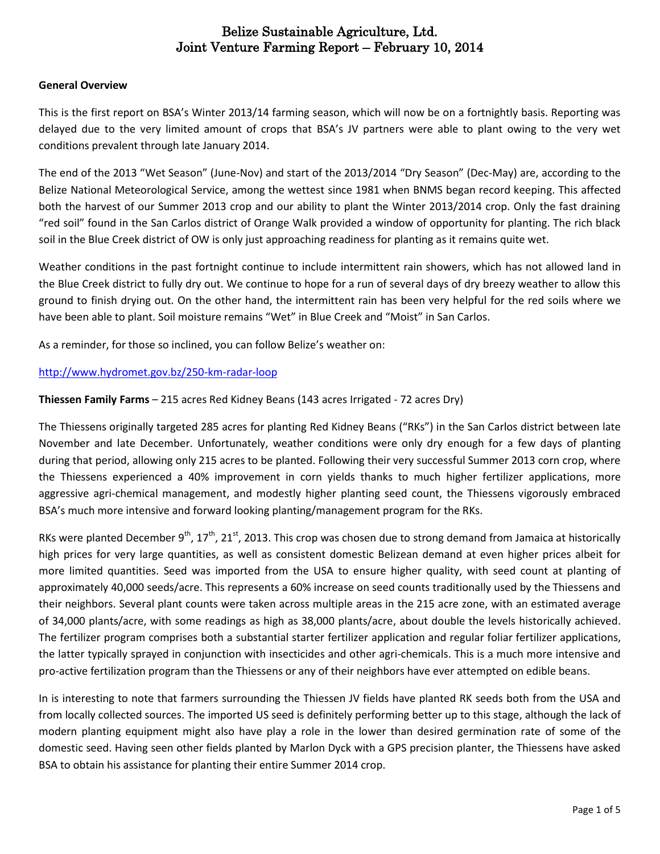#### **General Overview**

This is the first report on BSA's Winter 2013/14 farming season, which will now be on a fortnightly basis. Reporting was delayed due to the very limited amount of crops that BSA's JV partners were able to plant owing to the very wet conditions prevalent through late January 2014.

The end of the 2013 "Wet Season" (June-Nov) and start of the 2013/2014 "Dry Season" (Dec-May) are, according to the Belize National Meteorological Service, among the wettest since 1981 when BNMS began record keeping. This affected both the harvest of our Summer 2013 crop and our ability to plant the Winter 2013/2014 crop. Only the fast draining "red soil" found in the San Carlos district of Orange Walk provided a window of opportunity for planting. The rich black soil in the Blue Creek district of OW is only just approaching readiness for planting as it remains quite wet.

Weather conditions in the past fortnight continue to include intermittent rain showers, which has not allowed land in the Blue Creek district to fully dry out. We continue to hope for a run of several days of dry breezy weather to allow this ground to finish drying out. On the other hand, the intermittent rain has been very helpful for the red soils where we have been able to plant. Soil moisture remains "Wet" in Blue Creek and "Moist" in San Carlos.

As a reminder, for those so inclined, you can follow Belize's weather on:

#### <http://www.hydromet.gov.bz/250-km-radar-loop>

#### **Thiessen Family Farms** – 215 acres Red Kidney Beans (143 acres Irrigated - 72 acres Dry)

The Thiessens originally targeted 285 acres for planting Red Kidney Beans ("RKs") in the San Carlos district between late November and late December. Unfortunately, weather conditions were only dry enough for a few days of planting during that period, allowing only 215 acres to be planted. Following their very successful Summer 2013 corn crop, where the Thiessens experienced a 40% improvement in corn yields thanks to much higher fertilizer applications, more aggressive agri-chemical management, and modestly higher planting seed count, the Thiessens vigorously embraced BSA's much more intensive and forward looking planting/management program for the RKs.

RKs were planted December 9<sup>th</sup>, 17<sup>th</sup>, 21<sup>st</sup>, 2013. This crop was chosen due to strong demand from Jamaica at historically high prices for very large quantities, as well as consistent domestic Belizean demand at even higher prices albeit for more limited quantities. Seed was imported from the USA to ensure higher quality, with seed count at planting of approximately 40,000 seeds/acre. This represents a 60% increase on seed counts traditionally used by the Thiessens and their neighbors. Several plant counts were taken across multiple areas in the 215 acre zone, with an estimated average of 34,000 plants/acre, with some readings as high as 38,000 plants/acre, about double the levels historically achieved. The fertilizer program comprises both a substantial starter fertilizer application and regular foliar fertilizer applications, the latter typically sprayed in conjunction with insecticides and other agri-chemicals. This is a much more intensive and pro-active fertilization program than the Thiessens or any of their neighbors have ever attempted on edible beans.

In is interesting to note that farmers surrounding the Thiessen JV fields have planted RK seeds both from the USA and from locally collected sources. The imported US seed is definitely performing better up to this stage, although the lack of modern planting equipment might also have play a role in the lower than desired germination rate of some of the domestic seed. Having seen other fields planted by Marlon Dyck with a GPS precision planter, the Thiessens have asked BSA to obtain his assistance for planting their entire Summer 2014 crop.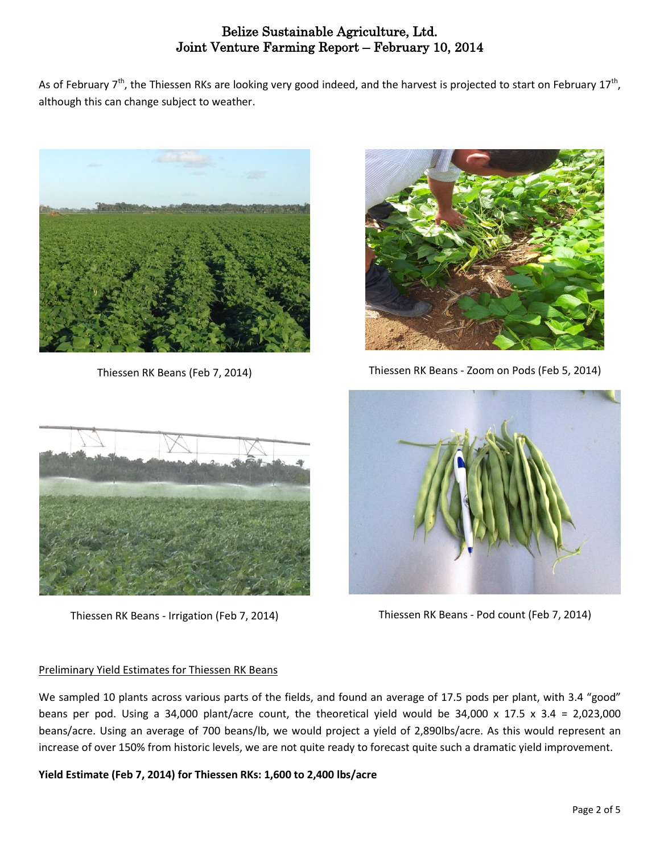As of February 7<sup>th</sup>, the Thiessen RKs are looking very good indeed, and the harvest is projected to start on February 17<sup>th</sup>, although this can change subject to weather.



Thiessen RK Beans (Feb 7, 2014)



Thiessen RK Beans - Zoom on Pods (Feb 5, 2014)



Thiessen RK Beans - Irrigation (Feb 7, 2014)

## Preliminary Yield Estimates for Thiessen RK Beans

We sampled 10 plants across various parts of the fields, and found an average of 17.5 pods per plant, with 3.4 "good" beans per pod. Using a 34,000 plant/acre count, the theoretical yield would be 34,000 x 17.5 x 3.4 = 2,023,000 beans/acre. Using an average of 700 beans/lb, we would project a yield of 2,890lbs/acre. As this would represent an increase of over 150% from historic levels, we are not quite ready to forecast quite such a dramatic yield improvement.

**Yield Estimate (Feb 7, 2014) for Thiessen RKs: 1,600 to 2,400 lbs/acre** 



Thiessen RK Beans - Pod count (Feb 7, 2014)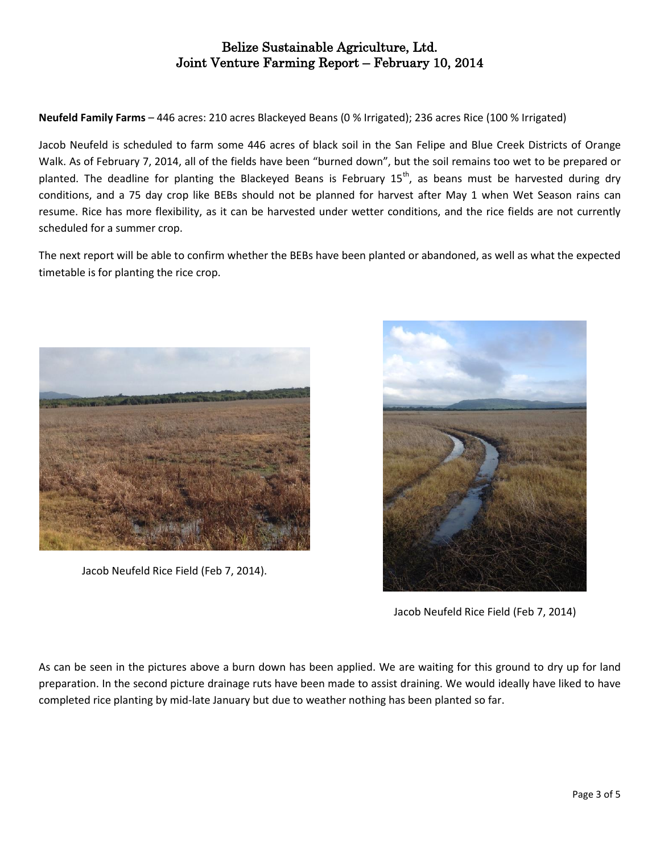**Neufeld Family Farms** – 446 acres: 210 acres Blackeyed Beans (0 % Irrigated); 236 acres Rice (100 % Irrigated)

Jacob Neufeld is scheduled to farm some 446 acres of black soil in the San Felipe and Blue Creek Districts of Orange Walk. As of February 7, 2014, all of the fields have been "burned down", but the soil remains too wet to be prepared or planted. The deadline for planting the Blackeyed Beans is February  $15<sup>th</sup>$ , as beans must be harvested during dry conditions, and a 75 day crop like BEBs should not be planned for harvest after May 1 when Wet Season rains can resume. Rice has more flexibility, as it can be harvested under wetter conditions, and the rice fields are not currently scheduled for a summer crop.

The next report will be able to confirm whether the BEBs have been planted or abandoned, as well as what the expected timetable is for planting the rice crop.



Jacob Neufeld Rice Field (Feb 7, 2014).



Jacob Neufeld Rice Field (Feb 7, 2014)

As can be seen in the pictures above a burn down has been applied. We are waiting for this ground to dry up for land preparation. In the second picture drainage ruts have been made to assist draining. We would ideally have liked to have completed rice planting by mid-late January but due to weather nothing has been planted so far.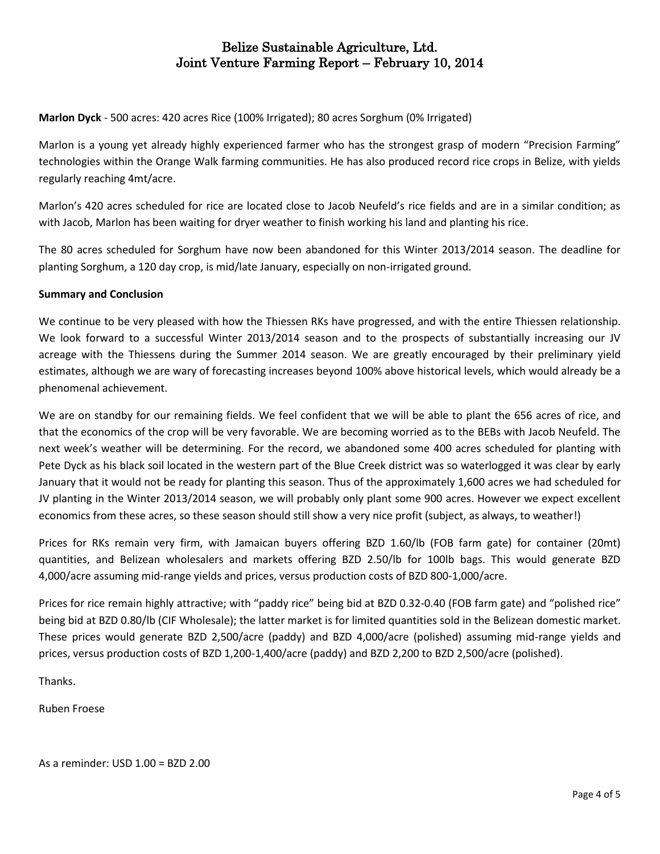**Marlon Dyck** - 500 acres: 420 acres Rice (100% Irrigated); 80 acres Sorghum (0% Irrigated)

Marlon is a young yet already highly experienced farmer who has the strongest grasp of modern "Precision Farming" technologies within the Orange Walk farming communities. He has also produced record rice crops in Belize, with yields regularly reaching 4mt/acre.

Marlon's 420 acres scheduled for rice are located close to Jacob Neufeld's rice fields and are in a similar condition; as with Jacob, Marlon has been waiting for dryer weather to finish working his land and planting his rice.

The 80 acres scheduled for Sorghum have now been abandoned for this Winter 2013/2014 season. The deadline for planting Sorghum, a 120 day crop, is mid/late January, especially on non-irrigated ground.

#### **Summary and Conclusion**

We continue to be very pleased with how the Thiessen RKs have progressed, and with the entire Thiessen relationship. We look forward to a successful Winter 2013/2014 season and to the prospects of substantially increasing our JV acreage with the Thiessens during the Summer 2014 season. We are greatly encouraged by their preliminary yield estimates, although we are wary of forecasting increases beyond 100% above historical levels, which would already be a phenomenal achievement.

We are on standby for our remaining fields. We feel confident that we will be able to plant the 656 acres of rice, and that the economics of the crop will be very favorable. We are becoming worried as to the BEBs with Jacob Neufeld. The next week's weather will be determining. For the record, we abandoned some 400 acres scheduled for planting with Pete Dyck as his black soil located in the western part of the Blue Creek district was so waterlogged it was clear by early January that it would not be ready for planting this season. Thus of the approximately 1,600 acres we had scheduled for JV planting in the Winter 2013/2014 season, we will probably only plant some 900 acres. However we expect excellent economics from these acres, so these season should still show a very nice profit (subject, as always, to weather!)

Prices for RKs remain very firm, with Jamaican buyers offering BZD 1.60/lb (FOB farm gate) for container (20mt) quantities, and Belizean wholesalers and markets offering BZD 2.50/lb for 100lb bags. This would generate BZD 4,000/acre assuming mid-range yields and prices, versus production costs of BZD 800-1,000/acre.

Prices for rice remain highly attractive; with "paddy rice" being bid at BZD 0.32-0.40 (FOB farm gate) and "polished rice" being bid at BZD 0.80/lb (CIF Wholesale); the latter market is for limited quantities sold in the Belizean domestic market. These prices would generate BZD 2,500/acre (paddy) and BZD 4,000/acre (polished) assuming mid-range yields and prices, versus production costs of BZD 1,200-1,400/acre (paddy) and BZD 2,200 to BZD 2,500/acre (polished).

Thanks.

Ruben Froese